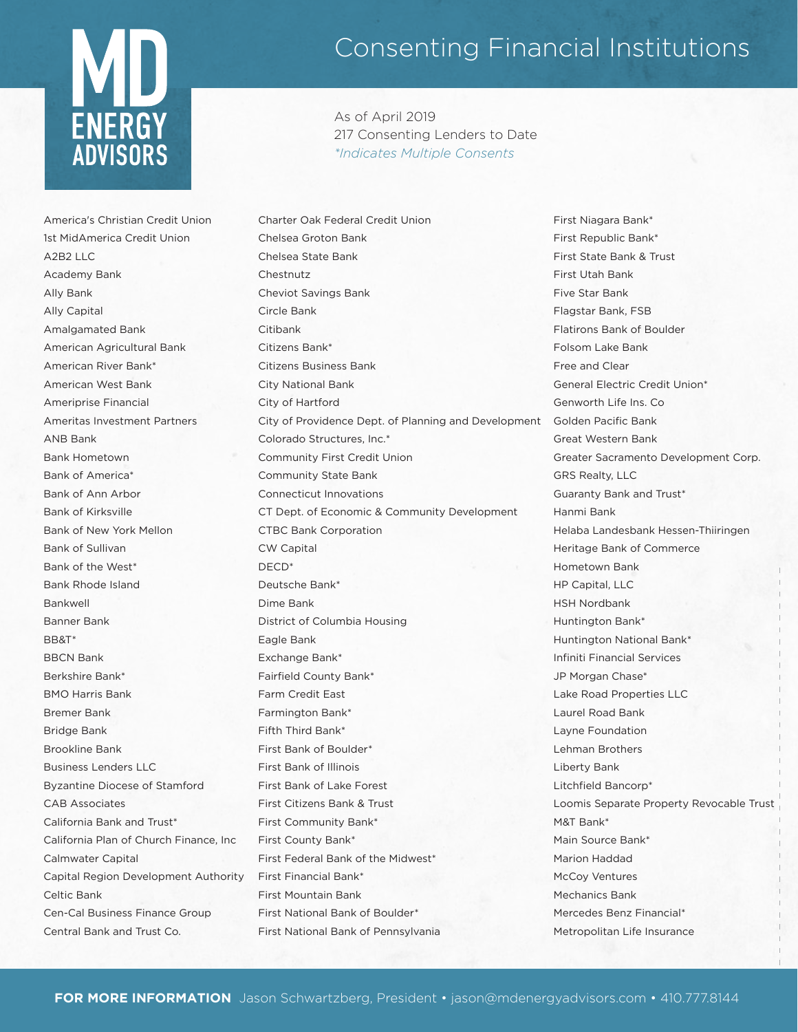

Consenting Financial Institutions

As of April 2019 217 Consenting Lenders to Date *\*Indicates Multiple Consents*

America's Christian Credit Union 1st MidAmerica Credit Union  $A2B211C$ Academy Bank Ally Bank Ally Capital Amalgamated Bank American Agricultural Bank American River Bank\* American West Bank Ameriprise Financial Ameritas Investment Partners ANB Bank Bank Hometown Bank of America\* Bank of Ann Arbor Bank of Kirksville Bank of New York Mellon Bank of Sullivan Bank of the West\* Bank Rhode Island Bankwell Banner Bank BB&T\* BBCN Bank Berkshire Bank\* BMO Harris Bank Bremer Bank Bridge Bank Brookline Bank Business Lenders LLC Byzantine Diocese of Stamford CAB Associates California Bank and Trust\* California Plan of Church Finance, Inc Calmwater Capital Capital Region Development Authority Celtic Bank Cen-Cal Business Finance Group Central Bank and Trust Co.

Charter Oak Federal Credit Union Chelsea Groton Bank Chelsea State Bank Chestnutz Cheviot Savings Bank Circle Bank Citibank Citizens Bank\* Citizens Business Bank City National Bank City of Hartford City of Providence Dept. of Planning and Development Colorado Structures, Inc.\* Community First Credit Union Community State Bank Connecticut Innovations CT Dept. of Economic & Community Development CTBC Bank Corporation CW Capital DECD\* Deutsche Bank\* Dime Bank District of Columbia Housing Eagle Bank Exchange Bank\* Fairfield County Bank\* Farm Credit East Farmington Bank\* Fifth Third Bank\* First Bank of Boulder\* First Bank of Illinois First Bank of Lake Forest First Citizens Bank & Trust First Community Bank\* First County Bank\* First Federal Bank of the Midwest\* First Financial Bank\* First Mountain Bank First National Bank of Boulder\* First National Bank of Pennsylvania

First Niagara Bank\* First Republic Bank\* First State Bank & Trust First Utah Bank Five Star Bank Flagstar Bank, FSB Flatirons Bank of Boulder Folsom Lake Bank Free and Clear General Electric Credit Union\* Genworth Life Ins. Co Golden Pacific Bank Great Western Bank Greater Sacramento Development Corp. GRS Realty, LLC Guaranty Bank and Trust\* Hanmi Bank Helaba Landesbank Hessen-Thiiringen Heritage Bank of Commerce Hometown Bank HP Capital, LLC HSH Nordbank Huntington Bank\* Huntington National Bank\* Infiniti Financial Services JP Morgan Chase\* Lake Road Properties LLC Laurel Road Bank Layne Foundation Lehman Brothers Liberty Bank Litchfield Bancorp\* Loomis Separate Property Revocable Trust M&T Bank\* Main Source Bank\* Marion Haddad McCoy Ventures Mechanics Bank Mercedes Benz Financial\* Metropolitan Life Insurance